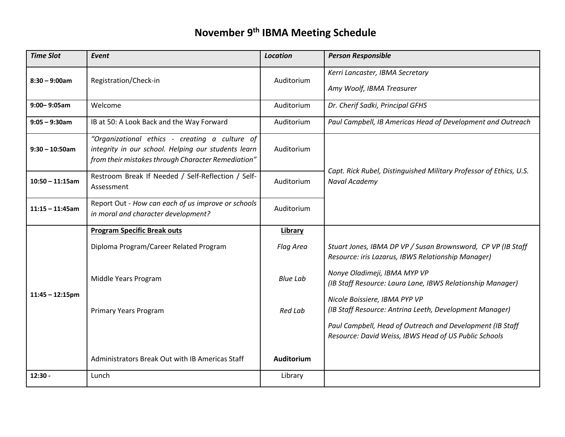## **November 9th IBMA Meeting Schedule**

| <b>Time Slot</b>   | Event                                                                                                                                                       | <b>Location</b> | <b>Person Responsible</b>                                                                                          |
|--------------------|-------------------------------------------------------------------------------------------------------------------------------------------------------------|-----------------|--------------------------------------------------------------------------------------------------------------------|
| $8:30 - 9:00$ am   | Registration/Check-in                                                                                                                                       | Auditorium      | Kerri Lancaster, IBMA Secretary<br>Amy Woolf, IBMA Treasurer                                                       |
| 9:00-9:05am        | Welcome                                                                                                                                                     | Auditorium      | Dr. Cherif Sadki, Principal GFHS                                                                                   |
| $9:05 - 9:30$ am   | IB at 50: A Look Back and the Way Forward                                                                                                                   | Auditorium      | Paul Campbell, IB Americas Head of Development and Outreach                                                        |
| $9:30 - 10:50$ am  | "Organizational ethics - creating a culture of<br>integrity in our school. Helping our students learn<br>from their mistakes through Character Remediation" | Auditorium      |                                                                                                                    |
| $10:50 - 11:15am$  | Restroom Break If Needed / Self-Reflection / Self-<br>Assessment                                                                                            | Auditorium      | Capt. Rick Rubel, Distinguished Military Professor of Ethics, U.S.<br>Naval Academy                                |
| $11:15 - 11:45$ am | Report Out - How can each of us improve or schools<br>in moral and character development?                                                                   | Auditorium      |                                                                                                                    |
| $11:45 - 12:15$ pm | <b>Program Specific Break outs</b>                                                                                                                          | <b>Library</b>  |                                                                                                                    |
|                    | Diploma Program/Career Related Program                                                                                                                      | Flag Area       | Stuart Jones, IBMA DP VP / Susan Brownsword, CP VP (IB Staff<br>Resource: iris Lazarus, IBWS Relationship Manager) |
|                    | Middle Years Program                                                                                                                                        | <b>Blue Lab</b> | Nonye Oladimeji, IBMA MYP VP<br>(IB Staff Resource: Laura Lane, IBWS Relationship Manager)                         |
|                    | Primary Years Program                                                                                                                                       | Red Lab         | Nicole Boissiere, IBMA PYP VP<br>(IB Staff Resource: Antrina Leeth, Development Manager)                           |
|                    |                                                                                                                                                             |                 | Paul Campbell, Head of Outreach and Development (IB Staff<br>Resource: David Weiss, IBWS Head of US Public Schools |
|                    | Administrators Break Out with IB Americas Staff                                                                                                             | Auditorium      |                                                                                                                    |
| $12:30 -$          | Lunch                                                                                                                                                       | Library         |                                                                                                                    |